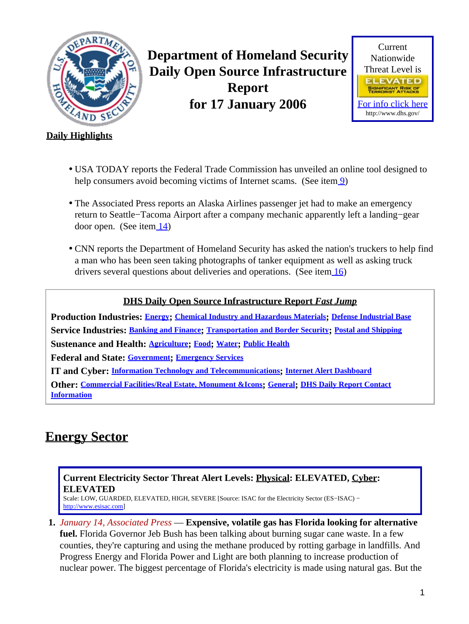<span id="page-0-1"></span>

**Department of Homeland Security Daily Open Source Infrastructure Report for 17 January 2006**



### **Daily Highlights**

- USA TODAY reports the Federal Trade Commission has unveiled an online tool designed to help consumers avoid becoming victims of Internet scams. (See ite[m 9\)](#page-3-0)
- The Associated Press reports an Alaska Airlines passenger jet had to make an emergency return to Seattle−Tacoma Airport after a company mechanic apparently left a landing−gear door open. (See item [14\)](#page-5-0)
- CNN reports the Department of Homeland Security has asked the nation's truckers to help find a man who has been seen taking photographs of tanker equipment as well as asking truck drivers several questions about deliveries and operations. (See item [16\)](#page-6-0)

### **DHS Daily Open Source Infrastructure Report** *Fast Jump*

**Production Industries: [Energy](#page-0-0); [Chemical Industry and Hazardous Materials](#page-2-0); [Defense Industrial Base](#page-2-1) Service Industries: [Banking and Finance](#page-3-1); [Transportation and Border Security](#page-4-0); [Postal and Shipping](#page-6-1) Sustenance and Health: [Agriculture](#page-6-2); [Food](#page-8-0); [Water](#page-9-0); [Public Health](#page-9-1) Federal and State: [Government](#page-11-0); [Emergency Services](#page-11-1) IT and Cyber: [Information Technology and Telecommunications](#page-12-0); [Internet Alert Dashboard](#page-14-0) Other: [Commercial Facilities/Real Estate, Monument &Icons](#page-15-0); [General](#page-16-0); [DHS Daily Report Contact](#page-16-1) [Information](#page-16-1)**

## <span id="page-0-0"></span>**Energy Sector**

#### **Current Electricity Sector Threat Alert Levels: Physical: ELEVATED, Cyber: ELEVATED**

Scale: LOW, GUARDED, ELEVATED, HIGH, SEVERE [Source: ISAC for the Electricity Sector (ES−ISAC) − [http://www.esisac.com](http://esisac.com)]

- **1.** *January 14, Associated Press* — **Expensive, volatile gas has Florida looking for alternative**
	- **fuel.** Florida Governor Jeb Bush has been talking about burning sugar cane waste. In a few counties, they're capturing and using the methane produced by rotting garbage in landfills. And Progress Energy and Florida Power and Light are both planning to increase production of nuclear power. The biggest percentage of Florida's electricity is made using natural gas. But the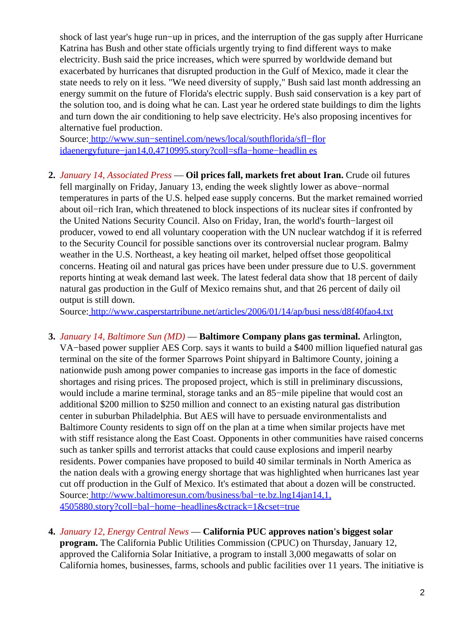shock of last year's huge run−up in prices, and the interruption of the gas supply after Hurricane Katrina has Bush and other state officials urgently trying to find different ways to make electricity. Bush said the price increases, which were spurred by worldwide demand but exacerbated by hurricanes that disrupted production in the Gulf of Mexico, made it clear the state needs to rely on it less. "We need diversity of supply," Bush said last month addressing an energy summit on the future of Florida's electric supply. Bush said conservation is a key part of the solution too, and is doing what he can. Last year he ordered state buildings to dim the lights and turn down the air conditioning to help save electricity. He's also proposing incentives for alternative fuel production.

Source[: http://www.sun−sentinel.com/news/local/southflorida/sfl−flor](http://www.sun-sentinel.com/news/local/southflorida/sfl-floridaenergyfuture-jan14,0,4710995.story?coll=sfla-home-headlines) [idaenergyfuture−jan14,0,4710995.story?coll=sfla−home−headlin es](http://www.sun-sentinel.com/news/local/southflorida/sfl-floridaenergyfuture-jan14,0,4710995.story?coll=sfla-home-headlines)

**2.** *January 14, Associated Press* — **Oil prices fall, markets fret about Iran.** Crude oil futures fell marginally on Friday, January 13, ending the week slightly lower as above−normal temperatures in parts of the U.S. helped ease supply concerns. But the market remained worried about oil−rich Iran, which threatened to block inspections of its nuclear sites if confronted by the United Nations Security Council. Also on Friday, Iran, the world's fourth−largest oil producer, vowed to end all voluntary cooperation with the UN nuclear watchdog if it is referred to the Security Council for possible sanctions over its controversial nuclear program. Balmy weather in the U.S. Northeast, a key heating oil market, helped offset those geopolitical concerns. Heating oil and natural gas prices have been under pressure due to U.S. government reports hinting at weak demand last week. The latest federal data show that 18 percent of daily natural gas production in the Gulf of Mexico remains shut, and that 26 percent of daily oil output is still down.

Source[: http://www.casperstartribune.net/articles/2006/01/14/ap/busi ness/d8f40fao4.txt](http://www.casperstartribune.net/articles/2006/01/14/ap/business/d8f40fao4.txt)

- **3.** *January 14, Baltimore Sun (MD)* — **Baltimore Company plans gas terminal.** Arlington, VA−based power supplier AES Corp. says it wants to build a \$400 million liquefied natural gas terminal on the site of the former Sparrows Point shipyard in Baltimore County, joining a nationwide push among power companies to increase gas imports in the face of domestic shortages and rising prices. The proposed project, which is still in preliminary discussions, would include a marine terminal, storage tanks and an 85−mile pipeline that would cost an additional \$200 million to \$250 million and connect to an existing natural gas distribution center in suburban Philadelphia. But AES will have to persuade environmentalists and Baltimore County residents to sign off on the plan at a time when similar projects have met with stiff resistance along the East Coast. Opponents in other communities have raised concerns such as tanker spills and terrorist attacks that could cause explosions and imperil nearby residents. Power companies have proposed to build 40 similar terminals in North America as the nation deals with a growing energy shortage that was highlighted when hurricanes last year cut off production in the Gulf of Mexico. It's estimated that about a dozen will be constructed. Source[: http://www.baltimoresun.com/business/bal−te.bz.lng14jan14,1,](http://www.baltimoresun.com/business/bal-te.bz.lng14jan14,1,4505880.story?coll=bal-home-headlines&ctrack=1&cset=true) [4505880.story?coll=bal−home−headlines&ctrack=1&cset=true](http://www.baltimoresun.com/business/bal-te.bz.lng14jan14,1,4505880.story?coll=bal-home-headlines&ctrack=1&cset=true)
- **4.** *January 12, Energy Central News* — **California PUC approves nation's biggest solar program.** The California Public Utilities Commission (CPUC) on Thursday, January 12, approved the California Solar Initiative, a program to install 3,000 megawatts of solar on California homes, businesses, farms, schools and public facilities over 11 years. The initiative is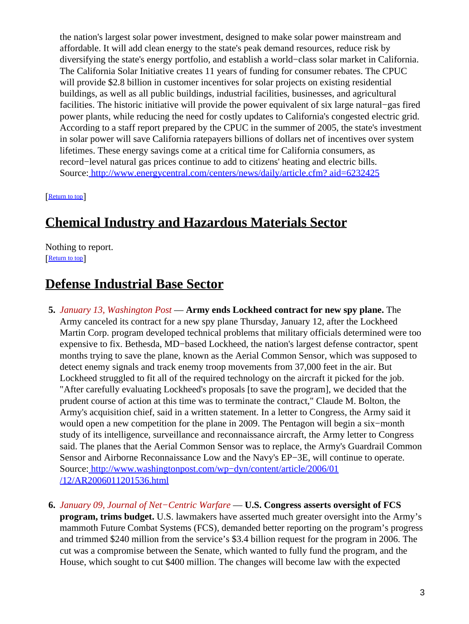the nation's largest solar power investment, designed to make solar power mainstream and affordable. It will add clean energy to the state's peak demand resources, reduce risk by diversifying the state's energy portfolio, and establish a world−class solar market in California. The California Solar Initiative creates 11 years of funding for consumer rebates. The CPUC will provide \$2.8 billion in customer incentives for solar projects on existing residential buildings, as well as all public buildings, industrial facilities, businesses, and agricultural facilities. The historic initiative will provide the power equivalent of six large natural−gas fired power plants, while reducing the need for costly updates to California's congested electric grid. According to a staff report prepared by the CPUC in the summer of 2005, the state's investment in solar power will save California ratepayers billions of dollars net of incentives over system lifetimes. These energy savings come at a critical time for California consumers, as record−level natural gas prices continue to add to citizens' heating and electric bills. Source[: http://www.energycentral.com/centers/news/daily/article.cfm? aid=6232425](http://www.energycentral.com/centers/news/daily/article.cfm?aid=6232425)

[[Return to top](#page-0-1)]

# <span id="page-2-0"></span>**Chemical Industry and Hazardous Materials Sector**

Nothing to report. [[Return to top](#page-0-1)]

# <span id="page-2-1"></span>**Defense Industrial Base Sector**

- **5.** *January 13, Washington Post* — **Army ends Lockheed contract for new spy plane.** The Army canceled its contract for a new spy plane Thursday, January 12, after the Lockheed Martin Corp. program developed technical problems that military officials determined were too expensive to fix. Bethesda, MD−based Lockheed, the nation's largest defense contractor, spent months trying to save the plane, known as the Aerial Common Sensor, which was supposed to detect enemy signals and track enemy troop movements from 37,000 feet in the air. But Lockheed struggled to fit all of the required technology on the aircraft it picked for the job. "After carefully evaluating Lockheed's proposals [to save the program], we decided that the prudent course of action at this time was to terminate the contract," Claude M. Bolton, the Army's acquisition chief, said in a written statement. In a letter to Congress, the Army said it would open a new competition for the plane in 2009. The Pentagon will begin a six−month study of its intelligence, surveillance and reconnaissance aircraft, the Army letter to Congress said. The planes that the Aerial Common Sensor was to replace, the Army's Guardrail Common Sensor and Airborne Reconnaissance Low and the Navy's EP−3E, will continue to operate. Source[: http://www.washingtonpost.com/wp−dyn/content/article/2006/01](http://www.washingtonpost.com/wp-dyn/content/article/2006/01/12/AR2006011201536.html) [/12/AR2006011201536.html](http://www.washingtonpost.com/wp-dyn/content/article/2006/01/12/AR2006011201536.html)
- **6.** *January 09, Journal of Net−Centric Warfare* — **U.S. Congress asserts oversight of FCS program, trims budget.** U.S. lawmakers have asserted much greater oversight into the Army's mammoth Future Combat Systems (FCS), demanded better reporting on the program's progress and trimmed \$240 million from the service's \$3.4 billion request for the program in 2006. The cut was a compromise between the Senate, which wanted to fully fund the program, and the House, which sought to cut \$400 million. The changes will become law with the expected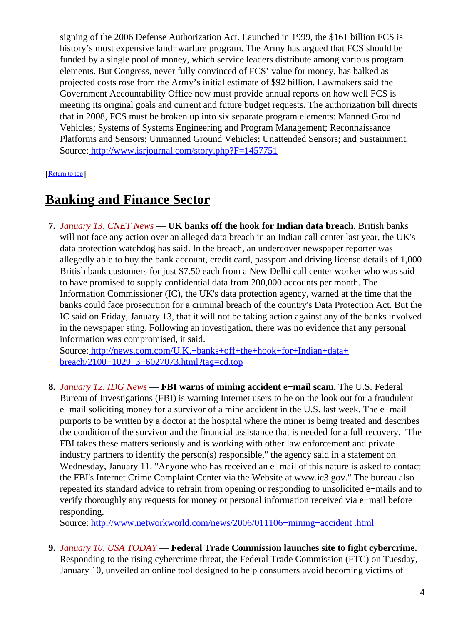signing of the 2006 Defense Authorization Act. Launched in 1999, the \$161 billion FCS is history's most expensive land−warfare program. The Army has argued that FCS should be funded by a single pool of money, which service leaders distribute among various program elements. But Congress, never fully convinced of FCS' value for money, has balked as projected costs rose from the Army's initial estimate of \$92 billion. Lawmakers said the Government Accountability Office now must provide annual reports on how well FCS is meeting its original goals and current and future budget requests. The authorization bill directs that in 2008, FCS must be broken up into six separate program elements: Manned Ground Vehicles; Systems of Systems Engineering and Program Management; Reconnaissance Platforms and Sensors; Unmanned Ground Vehicles; Unattended Sensors; and Sustainment. Source[: http://www.isrjournal.com/story.php?F=1457751](http://www.isrjournal.com/story.php?F=1457751)

#### [[Return to top](#page-0-1)]

## <span id="page-3-1"></span>**Banking and Finance Sector**

**7.** *January 13, CNET News* — **UK banks off the hook for Indian data breach.** British banks will not face any action over an alleged data breach in an Indian call center last year, the UK's data protection watchdog has said. In the breach, an undercover newspaper reporter was allegedly able to buy the bank account, credit card, passport and driving license details of 1,000 British bank customers for just \$7.50 each from a New Delhi call center worker who was said to have promised to supply confidential data from 200,000 accounts per month. The Information Commissioner (IC), the UK's data protection agency, warned at the time that the banks could face prosecution for a criminal breach of the country's Data Protection Act. But the IC said on Friday, January 13, that it will not be taking action against any of the banks involved in the newspaper sting. Following an investigation, there was no evidence that any personal information was compromised, it said.

Source[: http://news.com.com/U.K.+banks+off+the+hook+for+Indian+data+](http://news.com.com/U.K.+banks+off+the+hook+for+Indian+data+breach/2100-1029_3-6027073.html?tag=cd.top) [breach/2100−1029\\_3−6027073.html?tag=cd.top](http://news.com.com/U.K.+banks+off+the+hook+for+Indian+data+breach/2100-1029_3-6027073.html?tag=cd.top)

**8.** *January 12, IDG News* — **FBI warns of mining accident e−mail scam.** The U.S. Federal Bureau of Investigations (FBI) is warning Internet users to be on the look out for a fraudulent e−mail soliciting money for a survivor of a mine accident in the U.S. last week. The e−mail purports to be written by a doctor at the hospital where the miner is being treated and describes the condition of the survivor and the financial assistance that is needed for a full recovery. "The FBI takes these matters seriously and is working with other law enforcement and private industry partners to identify the person(s) responsible," the agency said in a statement on Wednesday, January 11. "Anyone who has received an e−mail of this nature is asked to contact the FBI's Internet Crime Complaint Center via the Website at www.ic3.gov." The bureau also repeated its standard advice to refrain from opening or responding to unsolicited e−mails and to verify thoroughly any requests for money or personal information received via e−mail before responding.

Source[: http://www.networkworld.com/news/2006/011106−mining−accident .html](http://www.networkworld.com/news/2006/011106-mining-accident.html)

<span id="page-3-0"></span>**9.** *January 10, USA TODAY* — **Federal Trade Commission launches site to fight cybercrime.** Responding to the rising cybercrime threat, the Federal Trade Commission (FTC) on Tuesday, January 10, unveiled an online tool designed to help consumers avoid becoming victims of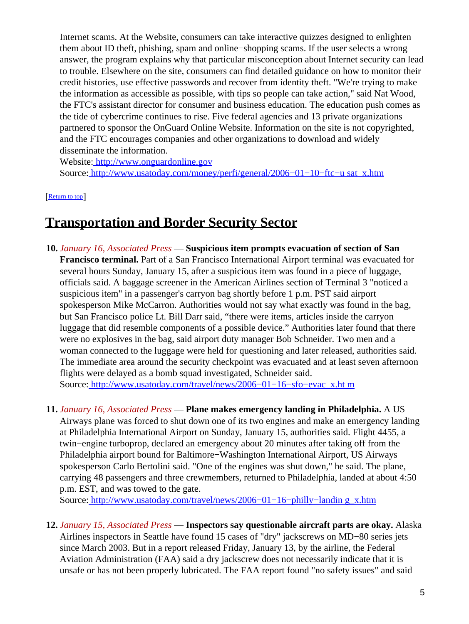Internet scams. At the Website, consumers can take interactive quizzes designed to enlighten them about ID theft, phishing, spam and online−shopping scams. If the user selects a wrong answer, the program explains why that particular misconception about Internet security can lead to trouble. Elsewhere on the site, consumers can find detailed guidance on how to monitor their credit histories, use effective passwords and recover from identity theft. "We're trying to make the information as accessible as possible, with tips so people can take action," said Nat Wood, the FTC's assistant director for consumer and business education. The education push comes as the tide of cybercrime continues to rise. Five federal agencies and 13 private organizations partnered to sponsor the OnGuard Online Website. Information on the site is not copyrighted, and the FTC encourages companies and other organizations to download and widely disseminate the information.

Website[: http://www.onguardonline.gov](http://www.onguardonline.gov)

Source[: http://www.usatoday.com/money/perfi/general/2006−01−10−ftc−u sat\\_x.htm](http://www.usatoday.com/money/perfi/general/2006-01-10-ftc-usat_x.htm)

[[Return to top](#page-0-1)]

## <span id="page-4-0"></span>**Transportation and Border Security Sector**

**10.** *January 16, Associated Press* — **Suspicious item prompts evacuation of section of San Francisco terminal.** Part of a San Francisco International Airport terminal was evacuated for several hours Sunday, January 15, after a suspicious item was found in a piece of luggage, officials said. A baggage screener in the American Airlines section of Terminal 3 "noticed a suspicious item" in a passenger's carryon bag shortly before 1 p.m. PST said airport spokesperson Mike McCarron. Authorities would not say what exactly was found in the bag, but San Francisco police Lt. Bill Darr said, "there were items, articles inside the carryon luggage that did resemble components of a possible device." Authorities later found that there were no explosives in the bag, said airport duty manager Bob Schneider. Two men and a woman connected to the luggage were held for questioning and later released, authorities said. The immediate area around the security checkpoint was evacuated and at least seven afternoon flights were delayed as a bomb squad investigated, Schneider said.

Source[: http://www.usatoday.com/travel/news/2006−01−16−sfo−evac\\_x.ht m](http://www.usatoday.com/travel/news/2006-01-16-sfo-evac_x.htm)

**11.** *January 16, Associated Press* — **Plane makes emergency landing in Philadelphia.** A US Airways plane was forced to shut down one of its two engines and make an emergency landing at Philadelphia International Airport on Sunday, January 15, authorities said. Flight 4455, a twin−engine turboprop, declared an emergency about 20 minutes after taking off from the Philadelphia airport bound for Baltimore−Washington International Airport, US Airways spokesperson Carlo Bertolini said. "One of the engines was shut down," he said. The plane, carrying 48 passengers and three crewmembers, returned to Philadelphia, landed at about 4:50 p.m. EST, and was towed to the gate.

Source[: http://www.usatoday.com/travel/news/2006−01−16−philly−landin g\\_x.htm](http://www.usatoday.com/travel/news/2006-01-16-philly-landing_x.htm)

**12.** *January 15, Associated Press* — **Inspectors say questionable aircraft parts are okay.** Alaska Airlines inspectors in Seattle have found 15 cases of "dry" jackscrews on MD−80 series jets since March 2003. But in a report released Friday, January 13, by the airline, the Federal Aviation Administration (FAA) said a dry jackscrew does not necessarily indicate that it is unsafe or has not been properly lubricated. The FAA report found "no safety issues" and said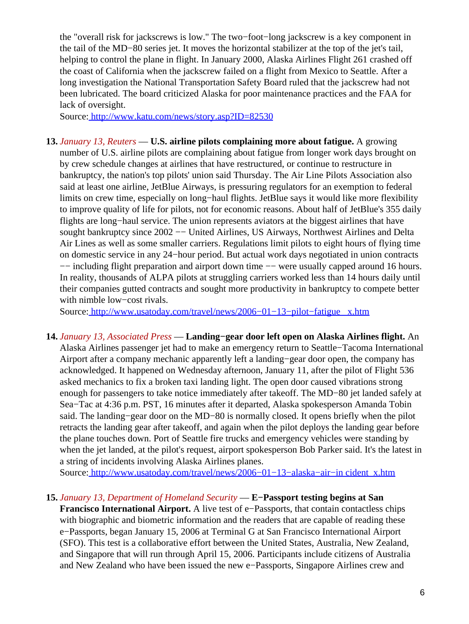the "overall risk for jackscrews is low." The two−foot−long jackscrew is a key component in the tail of the MD−80 series jet. It moves the horizontal stabilizer at the top of the jet's tail, helping to control the plane in flight. In January 2000, Alaska Airlines Flight 261 crashed off the coast of California when the jackscrew failed on a flight from Mexico to Seattle. After a long investigation the National Transportation Safety Board ruled that the jackscrew had not been lubricated. The board criticized Alaska for poor maintenance practices and the FAA for lack of oversight.

Source[: http://www.katu.com/news/story.asp?ID=82530](http://www.katu.com/news/story.asp?ID=82530)

**13.** *January 13, Reuters* — **U.S. airline pilots complaining more about fatigue.** A growing number of U.S. airline pilots are complaining about fatigue from longer work days brought on by crew schedule changes at airlines that have restructured, or continue to restructure in bankruptcy, the nation's top pilots' union said Thursday. The Air Line Pilots Association also said at least one airline, JetBlue Airways, is pressuring regulators for an exemption to federal limits on crew time, especially on long−haul flights. JetBlue says it would like more flexibility to improve quality of life for pilots, not for economic reasons. About half of JetBlue's 355 daily flights are long−haul service. The union represents aviators at the biggest airlines that have sought bankruptcy since 2002 −− United Airlines, US Airways, Northwest Airlines and Delta Air Lines as well as some smaller carriers. Regulations limit pilots to eight hours of flying time on domestic service in any 24−hour period. But actual work days negotiated in union contracts −− including flight preparation and airport down time −− were usually capped around 16 hours. In reality, thousands of ALPA pilots at struggling carriers worked less than 14 hours daily until their companies gutted contracts and sought more productivity in bankruptcy to compete better with nimble low−cost rivals.

Source[: http://www.usatoday.com/travel/news/2006−01−13−pilot−fatigue \\_x.htm](http://www.usatoday.com/travel/news/2006-01-13-pilot-fatigue_x.htm)

<span id="page-5-0"></span>**14.** *January 13, Associated Press* — **Landing−gear door left open on Alaska Airlines flight.** An Alaska Airlines passenger jet had to make an emergency return to Seattle−Tacoma International Airport after a company mechanic apparently left a landing−gear door open, the company has acknowledged. It happened on Wednesday afternoon, January 11, after the pilot of Flight 536 asked mechanics to fix a broken taxi landing light. The open door caused vibrations strong enough for passengers to take notice immediately after takeoff. The MD−80 jet landed safely at Sea−Tac at 4:36 p.m. PST, 16 minutes after it departed, Alaska spokesperson Amanda Tobin said. The landing−gear door on the MD−80 is normally closed. It opens briefly when the pilot retracts the landing gear after takeoff, and again when the pilot deploys the landing gear before the plane touches down. Port of Seattle fire trucks and emergency vehicles were standing by when the jet landed, at the pilot's request, airport spokesperson Bob Parker said. It's the latest in a string of incidents involving Alaska Airlines planes.

Source[: http://www.usatoday.com/travel/news/2006−01−13−alaska−air−in cident\\_x.htm](http://www.usatoday.com/travel/news/2006-01-13-alaska-air-incident_x.htm)

#### **15.** *January 13, Department of Homeland Security* — **E−Passport testing begins at San**

**Francisco International Airport.** A live test of e−Passports, that contain contactless chips with biographic and biometric information and the readers that are capable of reading these e−Passports, began January 15, 2006 at Terminal G at San Francisco International Airport (SFO). This test is a collaborative effort between the United States, Australia, New Zealand, and Singapore that will run through April 15, 2006. Participants include citizens of Australia and New Zealand who have been issued the new e−Passports, Singapore Airlines crew and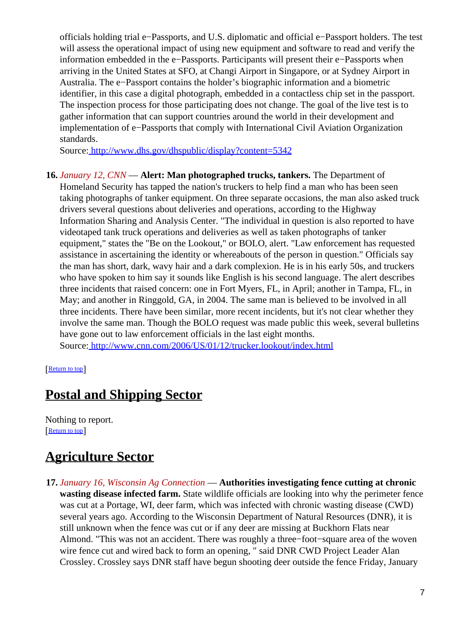officials holding trial e−Passports, and U.S. diplomatic and official e−Passport holders. The test will assess the operational impact of using new equipment and software to read and verify the information embedded in the e−Passports. Participants will present their e−Passports when arriving in the United States at SFO, at Changi Airport in Singapore, or at Sydney Airport in Australia. The e−Passport contains the holder's biographic information and a biometric identifier, in this case a digital photograph, embedded in a contactless chip set in the passport. The inspection process for those participating does not change. The goal of the live test is to gather information that can support countries around the world in their development and implementation of e−Passports that comply with International Civil Aviation Organization standards.

Source[: http://www.dhs.gov/dhspublic/display?content=5342](http://www.dhs.gov/dhspublic/display?content=5342)

<span id="page-6-0"></span>**16.** *January 12, CNN* — **Alert: Man photographed trucks, tankers.** The Department of Homeland Security has tapped the nation's truckers to help find a man who has been seen taking photographs of tanker equipment. On three separate occasions, the man also asked truck drivers several questions about deliveries and operations, according to the Highway Information Sharing and Analysis Center. "The individual in question is also reported to have videotaped tank truck operations and deliveries as well as taken photographs of tanker equipment," states the "Be on the Lookout," or BOLO, alert. "Law enforcement has requested assistance in ascertaining the identity or whereabouts of the person in question." Officials say the man has short, dark, wavy hair and a dark complexion. He is in his early 50s, and truckers who have spoken to him say it sounds like English is his second language. The alert describes three incidents that raised concern: one in Fort Myers, FL, in April; another in Tampa, FL, in May; and another in Ringgold, GA, in 2004. The same man is believed to be involved in all three incidents. There have been similar, more recent incidents, but it's not clear whether they involve the same man. Though the BOLO request was made public this week, several bulletins have gone out to law enforcement officials in the last eight months. Source[: http://www.cnn.com/2006/US/01/12/trucker.lookout/index.html](http://www.cnn.com/2006/US/01/12/trucker.lookout/index.html)

[[Return to top](#page-0-1)]

# <span id="page-6-1"></span>**Postal and Shipping Sector**

Nothing to report. [[Return to top](#page-0-1)]

# <span id="page-6-2"></span>**Agriculture Sector**

**17.** *January 16, Wisconsin Ag Connection* — **Authorities investigating fence cutting at chronic wasting disease infected farm.** State wildlife officials are looking into why the perimeter fence was cut at a Portage, WI, deer farm, which was infected with chronic wasting disease (CWD) several years ago. According to the Wisconsin Department of Natural Resources (DNR), it is still unknown when the fence was cut or if any deer are missing at Buckhorn Flats near Almond. "This was not an accident. There was roughly a three−foot−square area of the woven wire fence cut and wired back to form an opening, " said DNR CWD Project Leader Alan Crossley. Crossley says DNR staff have begun shooting deer outside the fence Friday, January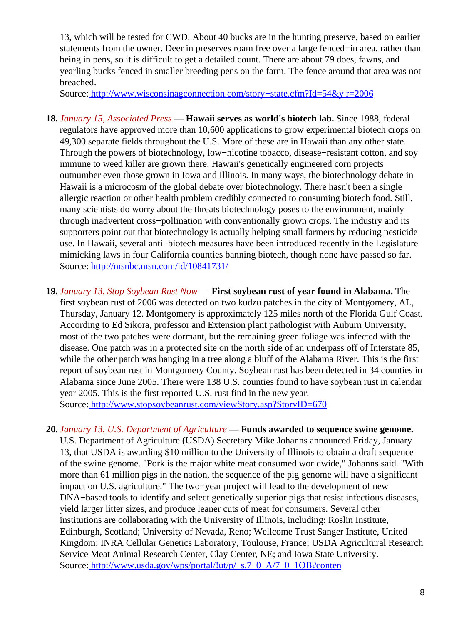13, which will be tested for CWD. About 40 bucks are in the hunting preserve, based on earlier statements from the owner. Deer in preserves roam free over a large fenced−in area, rather than being in pens, so it is difficult to get a detailed count. There are about 79 does, fawns, and yearling bucks fenced in smaller breeding pens on the farm. The fence around that area was not breached.

Source[: http://www.wisconsinagconnection.com/story−state.cfm?Id=54&y r=2006](http://www.wisconsinagconnection.com/story-state.cfm?Id=54&yr=2006)

- **18.** *January 15, Associated Press* — **Hawaii serves as world's biotech lab.** Since 1988, federal regulators have approved more than 10,600 applications to grow experimental biotech crops on 49,300 separate fields throughout the U.S. More of these are in Hawaii than any other state. Through the powers of biotechnology, low–nicotine tobacco, disease–resistant cotton, and soy immune to weed killer are grown there. Hawaii's genetically engineered corn projects outnumber even those grown in Iowa and Illinois. In many ways, the biotechnology debate in Hawaii is a microcosm of the global debate over biotechnology. There hasn't been a single allergic reaction or other health problem credibly connected to consuming biotech food. Still, many scientists do worry about the threats biotechnology poses to the environment, mainly through inadvertent cross−pollination with conventionally grown crops. The industry and its supporters point out that biotechnology is actually helping small farmers by reducing pesticide use. In Hawaii, several anti−biotech measures have been introduced recently in the Legislature mimicking laws in four California counties banning biotech, though none have passed so far. Source[: http://msnbc.msn.com/id/10841731/](http://msnbc.msn.com/id/10841731/)
- **19.** *January 13, Stop Soybean Rust Now* — **First soybean rust of year found in Alabama.** The first soybean rust of 2006 was detected on two kudzu patches in the city of Montgomery, AL, Thursday, January 12. Montgomery is approximately 125 miles north of the Florida Gulf Coast. According to Ed Sikora, professor and Extension plant pathologist with Auburn University, most of the two patches were dormant, but the remaining green foliage was infected with the disease. One patch was in a protected site on the north side of an underpass off of Interstate 85, while the other patch was hanging in a tree along a bluff of the Alabama River. This is the first report of soybean rust in Montgomery County. Soybean rust has been detected in 34 counties in Alabama since June 2005. There were 138 U.S. counties found to have soybean rust in calendar year 2005. This is the first reported U.S. rust find in the new year. Source[: http://www.stopsoybeanrust.com/viewStory.asp?StoryID=670](http://www.stopsoybeanrust.com/viewStory.asp?StoryID=670)

**20.** *January 13, U.S. Department of Agriculture* — **Funds awarded to sequence swine genome.**

U.S. Department of Agriculture (USDA) Secretary Mike Johanns announced Friday, January 13, that USDA is awarding \$10 million to the University of Illinois to obtain a draft sequence of the swine genome. "Pork is the major white meat consumed worldwide," Johanns said. "With more than 61 million pigs in the nation, the sequence of the pig genome will have a significant impact on U.S. agriculture." The two−year project will lead to the development of new DNA–based tools to identify and select genetically superior pigs that resist infectious diseases, yield larger litter sizes, and produce leaner cuts of meat for consumers. Several other institutions are collaborating with the University of Illinois, including: Roslin Institute, Edinburgh, Scotland; University of Nevada, Reno; Wellcome Trust Sanger Institute, United Kingdom; INRA Cellular Genetics Laboratory, Toulouse, France; USDA Agricultural Research Service Meat Animal Research Center, Clay Center, NE; and Iowa State University. Source[: http://www.usda.gov/wps/portal/!ut/p/\\_s.7\\_0\\_A/7\\_0\\_1OB?conten](http://www.usda.gov/wps/portal/!ut/p/_s.7_0_A/7_0_1OB?contentidonly=true&contentid=2006/01/0005.xml)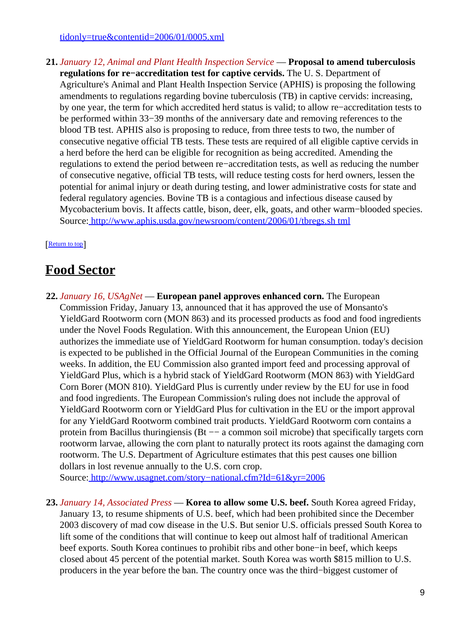[tidonly=true&contentid=2006/01/0005.xml](http://www.usda.gov/wps/portal/!ut/p/_s.7_0_A/7_0_1OB?contentidonly=true&contentid=2006/01/0005.xml)

**21.** *January 12, Animal and Plant Health Inspection Service* — **Proposal to amend tuberculosis regulations for re−accreditation test for captive cervids.** The U. S. Department of Agriculture's Animal and Plant Health Inspection Service (APHIS) is proposing the following amendments to regulations regarding bovine tuberculosis (TB) in captive cervids: increasing, by one year, the term for which accredited herd status is valid; to allow re−accreditation tests to be performed within 33−39 months of the anniversary date and removing references to the blood TB test. APHIS also is proposing to reduce, from three tests to two, the number of consecutive negative official TB tests. These tests are required of all eligible captive cervids in a herd before the herd can be eligible for recognition as being accredited. Amending the regulations to extend the period between re−accreditation tests, as well as reducing the number of consecutive negative, official TB tests, will reduce testing costs for herd owners, lessen the potential for animal injury or death during testing, and lower administrative costs for state and federal regulatory agencies. Bovine TB is a contagious and infectious disease caused by Mycobacterium bovis. It affects cattle, bison, deer, elk, goats, and other warm−blooded species. Source[: http://www.aphis.usda.gov/newsroom/content/2006/01/tbregs.sh tml](http://www.aphis.usda.gov/newsroom/content/2006/01/tbregs.shtml)

#### [[Return to top](#page-0-1)]

### <span id="page-8-0"></span>**Food Sector**

**22.** *January 16, USAgNet* — **European panel approves enhanced corn.** The European Commission Friday, January 13, announced that it has approved the use of Monsanto's YieldGard Rootworm corn (MON 863) and its processed products as food and food ingredients under the Novel Foods Regulation. With this announcement, the European Union (EU) authorizes the immediate use of YieldGard Rootworm for human consumption. today's decision is expected to be published in the Official Journal of the European Communities in the coming weeks. In addition, the EU Commission also granted import feed and processing approval of YieldGard Plus, which is a hybrid stack of YieldGard Rootworm (MON 863) with YieldGard Corn Borer (MON 810). YieldGard Plus is currently under review by the EU for use in food and food ingredients. The European Commission's ruling does not include the approval of YieldGard Rootworm corn or YieldGard Plus for cultivation in the EU or the import approval for any YieldGard Rootworm combined trait products. YieldGard Rootworm corn contains a protein from Bacillus thuringiensis (Bt — a common soil microbe) that specifically targets corn rootworm larvae, allowing the corn plant to naturally protect its roots against the damaging corn rootworm. The U.S. Department of Agriculture estimates that this pest causes one billion dollars in lost revenue annually to the U.S. corn crop.

Source[: http://www.usagnet.com/story−national.cfm?Id=61&yr=2006](http://www.usagnet.com/story-national.cfm?Id=61&yr=2006)

**23.** *January 14, Associated Press* — **Korea to allow some U.S. beef.** South Korea agreed Friday, January 13, to resume shipments of U.S. beef, which had been prohibited since the December 2003 discovery of mad cow disease in the U.S. But senior U.S. officials pressed South Korea to lift some of the conditions that will continue to keep out almost half of traditional American beef exports. South Korea continues to prohibit ribs and other bone−in beef, which keeps closed about 45 percent of the potential market. South Korea was worth \$815 million to U.S. producers in the year before the ban. The country once was the third−biggest customer of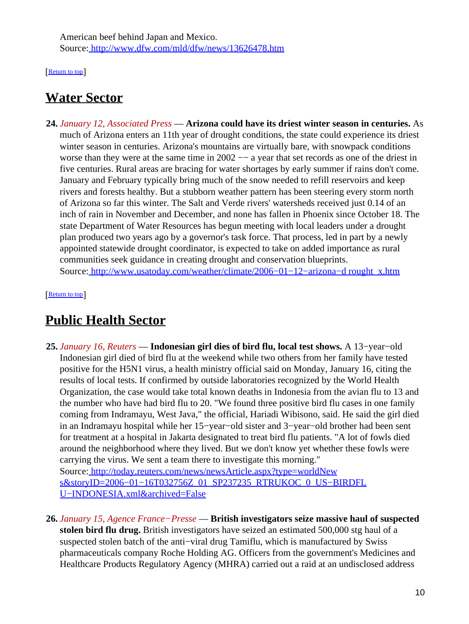American beef behind Japan and Mexico. Source[: http://www.dfw.com/mld/dfw/news/13626478.htm](http://www.dfw.com/mld/dfw/news/13626478.htm)

[[Return to top](#page-0-1)]

## <span id="page-9-0"></span>**Water Sector**

**24.** *January 12, Associated Press* — **Arizona could have its driest winter season in centuries.** As much of Arizona enters an 11th year of drought conditions, the state could experience its driest winter season in centuries. Arizona's mountains are virtually bare, with snowpack conditions worse than they were at the same time in 2002 −− a year that set records as one of the driest in five centuries. Rural areas are bracing for water shortages by early summer if rains don't come. January and February typically bring much of the snow needed to refill reservoirs and keep rivers and forests healthy. But a stubborn weather pattern has been steering every storm north of Arizona so far this winter. The Salt and Verde rivers' watersheds received just 0.14 of an inch of rain in November and December, and none has fallen in Phoenix since October 18. The state Department of Water Resources has begun meeting with local leaders under a drought plan produced two years ago by a governor's task force. That process, led in part by a newly appointed statewide drought coordinator, is expected to take on added importance as rural communities seek guidance in creating drought and conservation blueprints. Source[: http://www.usatoday.com/weather/climate/2006−01−12−arizona−d rought\\_x.htm](http://www.usatoday.com/weather/climate/2006-01-12-arizona-drought_x.htm)

[[Return to top](#page-0-1)]

## <span id="page-9-1"></span>**Public Health Sector**

**25.** *January 16, Reuters* — **Indonesian girl dies of bird flu, local test shows.** A 13−year−old Indonesian girl died of bird flu at the weekend while two others from her family have tested positive for the H5N1 virus, a health ministry official said on Monday, January 16, citing the results of local tests. If confirmed by outside laboratories recognized by the World Health Organization, the case would take total known deaths in Indonesia from the avian flu to 13 and the number who have had bird flu to 20. "We found three positive bird flu cases in one family coming from Indramayu, West Java," the official, Hariadi Wibisono, said. He said the girl died in an Indramayu hospital while her 15−year−old sister and 3−year−old brother had been sent for treatment at a hospital in Jakarta designated to treat bird flu patients. "A lot of fowls died around the neighborhood where they lived. But we don't know yet whether these fowls were carrying the virus. We sent a team there to investigate this morning." Source[: http://today.reuters.com/news/newsArticle.aspx?type=worldNew](http://today.reuters.com/news/newsArticle.aspx?type=worldNews&storyID=2006-01-16T032756Z_01_SP237235_RTRUKOC_0_US-BIRDFLU-INDONESIA.xml&archived=False)

s&storyID=2006-01-16T032756Z\_01\_SP237235\_RTRUKOC\_0\_US-BIRDFL [U−INDONESIA.xml&archived=False](http://today.reuters.com/news/newsArticle.aspx?type=worldNews&storyID=2006-01-16T032756Z_01_SP237235_RTRUKOC_0_US-BIRDFLU-INDONESIA.xml&archived=False)

**26.** *January 15, Agence France−Presse* — **British investigators seize massive haul of suspected stolen bird flu drug.** British investigators have seized an estimated 500,000 stg haul of a suspected stolen batch of the anti−viral drug Tamiflu, which is manufactured by Swiss pharmaceuticals company Roche Holding AG. Officers from the government's Medicines and Healthcare Products Regulatory Agency (MHRA) carried out a raid at an undisclosed address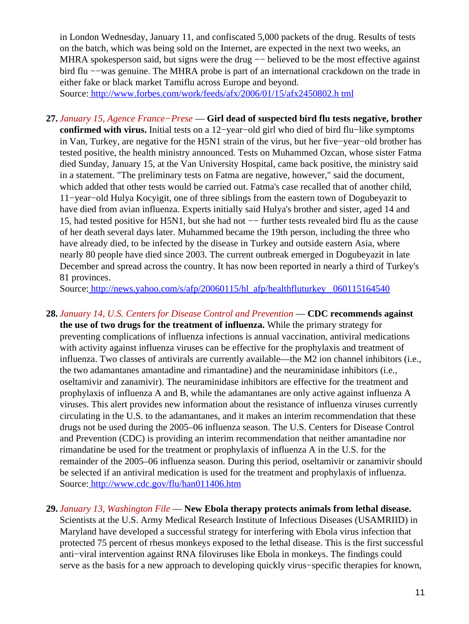in London Wednesday, January 11, and confiscated 5,000 packets of the drug. Results of tests on the batch, which was being sold on the Internet, are expected in the next two weeks, an MHRA spokesperson said, but signs were the drug -− believed to be the most effective against bird flu −−was genuine. The MHRA probe is part of an international crackdown on the trade in either fake or black market Tamiflu across Europe and beyond. Source[: http://www.forbes.com/work/feeds/afx/2006/01/15/afx2450802.h tml](http://www.forbes.com/work/feeds/afx/2006/01/15/afx2450802.html)

**27.** *January 15, Agence France−Prese* — **Girl dead of suspected bird flu tests negative, brother confirmed with virus.** Initial tests on a 12−year−old girl who died of bird flu−like symptoms in Van, Turkey, are negative for the H5N1 strain of the virus, but her five−year−old brother has tested positive, the health ministry announced. Tests on Muhammed Ozcan, whose sister Fatma died Sunday, January 15, at the Van University Hospital, came back positive, the ministry said in a statement. "The preliminary tests on Fatma are negative, however," said the document, which added that other tests would be carried out. Fatma's case recalled that of another child, 11−year−old Hulya Kocyigit, one of three siblings from the eastern town of Dogubeyazit to have died from avian influenza. Experts initially said Hulya's brother and sister, aged 14 and 15, had tested positive for H5N1, but she had not −− further tests revealed bird flu as the cause of her death several days later. Muhammed became the 19th person, including the three who have already died, to be infected by the disease in Turkey and outside eastern Asia, where nearly 80 people have died since 2003. The current outbreak emerged in Dogubeyazit in late December and spread across the country. It has now been reported in nearly a third of Turkey's 81 provinces.

Source[: http://news.yahoo.com/s/afp/20060115/hl\\_afp/healthfluturkey\\_ 060115164540](http://news.yahoo.com/s/afp/20060115/hl_afp/healthfluturkey_060115164540)

**28.** *January 14, U.S. Centers for Disease Control and Prevention* — **CDC recommends against the use of two drugs for the treatment of influenza.** While the primary strategy for preventing complications of influenza infections is annual vaccination, antiviral medications with activity against influenza viruses can be effective for the prophylaxis and treatment of influenza. Two classes of antivirals are currently available—the M2 ion channel inhibitors (i.e., the two adamantanes amantadine and rimantadine) and the neuraminidase inhibitors (i.e., oseltamivir and zanamivir). The neuraminidase inhibitors are effective for the treatment and prophylaxis of influenza A and B, while the adamantanes are only active against influenza A viruses. This alert provides new information about the resistance of influenza viruses currently circulating in the U.S. to the adamantanes, and it makes an interim recommendation that these drugs not be used during the 2005–06 influenza season. The U.S. Centers for Disease Control and Prevention (CDC) is providing an interim recommendation that neither amantadine nor rimandatine be used for the treatment or prophylaxis of influenza A in the U.S. for the remainder of the 2005–06 influenza season. During this period, oseltamivir or zanamivir should be selected if an antiviral medication is used for the treatment and prophylaxis of influenza. Source[: http://www.cdc.gov/flu/han011406.htm](http://www.cdc.gov/flu/han011406.htm)

#### **29.** *January 13, Washington File* — **New Ebola therapy protects animals from lethal disease.**

Scientists at the U.S. Army Medical Research Institute of Infectious Diseases (USAMRIID) in Maryland have developed a successful strategy for interfering with Ebola virus infection that protected 75 percent of rhesus monkeys exposed to the lethal disease. This is the first successful anti−viral intervention against RNA filoviruses like Ebola in monkeys. The findings could serve as the basis for a new approach to developing quickly virus−specific therapies for known,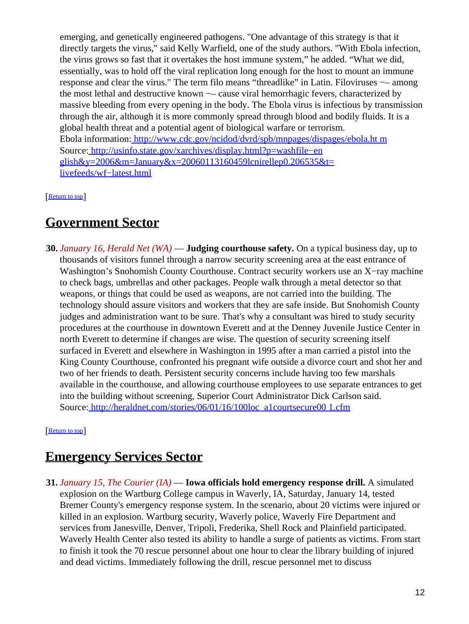emerging, and genetically engineered pathogens. "One advantage of this strategy is that it directly targets the virus," said Kelly Warfield, one of the study authors. "With Ebola infection, the virus grows so fast that it overtakes the host immune system," he added. "What we did, essentially, was to hold off the viral replication long enough for the host to mount an immune response and clear the virus." The term filo means "threadlike" in Latin. Filoviruses –– among the most lethal and destructive known −– cause viral hemorrhagic fevers, characterized by massive bleeding from every opening in the body. The Ebola virus is infectious by transmission through the air, although it is more commonly spread through blood and bodily fluids. It is a global health threat and a potential agent of biological warfare or terrorism. Ebola information: [http://www.cdc.gov/ncidod/dvrd/spb/mnpages/dispages/ebola.ht m](http://www.cdc.gov/ncidod/dvrd/spb/mnpages/dispages/ebola.htm) Source[: http://usinfo.state.gov/xarchives/display.html?p=washfile−en](http://usinfo.state.gov/xarchives/display.html?p=washfile-english&y=2006&m=January&x=20060113160459lcnirellep0.206535&t=livefeeds/wf-latest.html) glish&y= $2006$ &m=January&x= $20060113160459$ lcnirellep0.206535&t= [livefeeds/wf−latest.html](http://usinfo.state.gov/xarchives/display.html?p=washfile-english&y=2006&m=January&x=20060113160459lcnirellep0.206535&t=livefeeds/wf-latest.html)

[[Return to top](#page-0-1)]

### <span id="page-11-0"></span>**Government Sector**

**30.** *January 16, Herald Net (WA)* — **Judging courthouse safety.** On a typical business day, up to thousands of visitors funnel through a narrow security screening area at the east entrance of Washington's Snohomish County Courthouse. Contract security workers use an X−ray machine to check bags, umbrellas and other packages. People walk through a metal detector so that weapons, or things that could be used as weapons, are not carried into the building. The technology should assure visitors and workers that they are safe inside. But Snohomish County judges and administration want to be sure. That's why a consultant was hired to study security procedures at the courthouse in downtown Everett and at the Denney Juvenile Justice Center in north Everett to determine if changes are wise. The question of security screening itself surfaced in Everett and elsewhere in Washington in 1995 after a man carried a pistol into the King County Courthouse, confronted his pregnant wife outside a divorce court and shot her and two of her friends to death. Persistent security concerns include having too few marshals available in the courthouse, and allowing courthouse employees to use separate entrances to get into the building without screening, Superior Court Administrator Dick Carlson said. Source[: http://heraldnet.com/stories/06/01/16/100loc\\_a1courtsecure00 1.cfm](http://heraldnet.com/stories/06/01/16/100loc_a1courtsecure001.cfm)

[[Return to top](#page-0-1)]

# <span id="page-11-1"></span>**Emergency Services Sector**

**31.** *January 15, The Courier (IA)* — **Iowa officials hold emergency response drill.** A simulated explosion on the Wartburg College campus in Waverly, IA, Saturday, January 14, tested Bremer County's emergency response system. In the scenario, about 20 victims were injured or killed in an explosion. Wartburg security, Waverly police, Waverly Fire Department and services from Janesville, Denver, Tripoli, Frederika, Shell Rock and Plainfield participated. Waverly Health Center also tested its ability to handle a surge of patients as victims. From start to finish it took the 70 rescue personnel about one hour to clear the library building of injured and dead victims. Immediately following the drill, rescue personnel met to discuss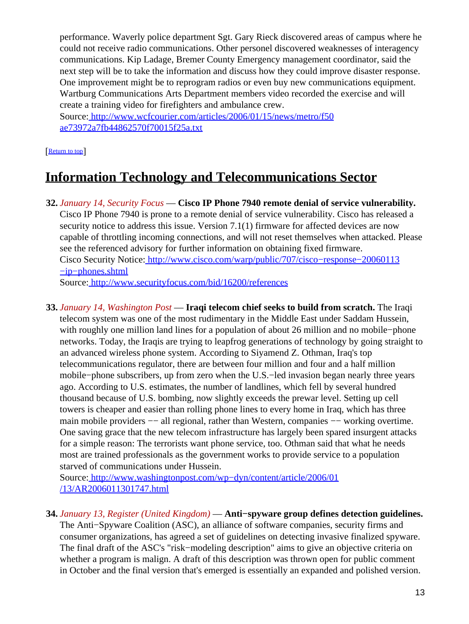performance. Waverly police department Sgt. Gary Rieck discovered areas of campus where he could not receive radio communications. Other personel discovered weaknesses of interagency communications. Kip Ladage, Bremer County Emergency management coordinator, said the next step will be to take the information and discuss how they could improve disaster response. One improvement might be to reprogram radios or even buy new communications equipment. Wartburg Communications Arts Department members video recorded the exercise and will create a training video for firefighters and ambulance crew.

Source[: http://www.wcfcourier.com/articles/2006/01/15/news/metro/f50](http://www.wcfcourier.com/articles/2006/01/15/news/metro/f50ae73972a7fb44862570f70015f25a.txt) [ae73972a7fb44862570f70015f25a.txt](http://www.wcfcourier.com/articles/2006/01/15/news/metro/f50ae73972a7fb44862570f70015f25a.txt)

#### [Return to top](#page-0-1)

## <span id="page-12-0"></span>**Information Technology and Telecommunications Sector**

**32.** *January 14, Security Focus* — **Cisco IP Phone 7940 remote denial of service vulnerability.** Cisco IP Phone 7940 is prone to a remote denial of service vulnerability. Cisco has released a security notice to address this issue. Version 7.1(1) firmware for affected devices are now capable of throttling incoming connections, and will not reset themselves when attacked. Please see the referenced advisory for further information on obtaining fixed firmware. Cisco Security Notice[: http://www.cisco.com/warp/public/707/cisco−response−20060113](http://www.cisco.com/warp/public/707/cisco-response-20060113-ip-phones.shtml) [−ip−phones.shtml](http://www.cisco.com/warp/public/707/cisco-response-20060113-ip-phones.shtml) Source[: http://www.securityfocus.com/bid/16200/references](http://www.securityfocus.com/bid/16200/references)

**33.** *January 14, Washington Post* — **Iraqi telecom chief seeks to build from scratch.** The Iraqi telecom system was one of the most rudimentary in the Middle East under Saddam Hussein, with roughly one million land lines for a population of about 26 million and no mobile−phone networks. Today, the Iraqis are trying to leapfrog generations of technology by going straight to an advanced wireless phone system. According to Siyamend Z. Othman, Iraq's top telecommunications regulator, there are between four million and four and a half million mobile−phone subscribers, up from zero when the U.S.−led invasion began nearly three years ago. According to U.S. estimates, the number of landlines, which fell by several hundred thousand because of U.S. bombing, now slightly exceeds the prewar level. Setting up cell towers is cheaper and easier than rolling phone lines to every home in Iraq, which has three main mobile providers −− all regional, rather than Western, companies −− working overtime. One saving grace that the new telecom infrastructure has largely been spared insurgent attacks for a simple reason: The terrorists want phone service, too. Othman said that what he needs most are trained professionals as the government works to provide service to a population starved of communications under Hussein.

Source[: http://www.washingtonpost.com/wp−dyn/content/article/2006/01](http://www.washingtonpost.com/wp-dyn/content/article/2006/01/13/AR2006011301747.html) [/13/AR2006011301747.html](http://www.washingtonpost.com/wp-dyn/content/article/2006/01/13/AR2006011301747.html)

**34.** *January 13, Register (United Kingdom)* — **Anti−spyware group defines detection guidelines.** The Anti−Spyware Coalition (ASC), an alliance of software companies, security firms and consumer organizations, has agreed a set of guidelines on detecting invasive finalized spyware. The final draft of the ASC's "risk−modeling description" aims to give an objective criteria on whether a program is malign. A draft of this description was thrown open for public comment in October and the final version that's emerged is essentially an expanded and polished version.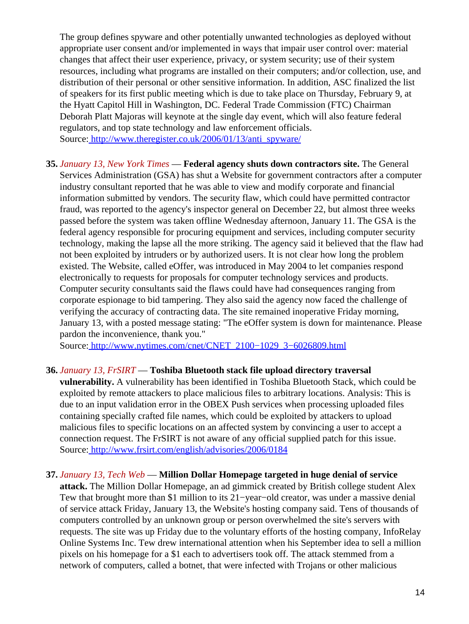The group defines spyware and other potentially unwanted technologies as deployed without appropriate user consent and/or implemented in ways that impair user control over: material changes that affect their user experience, privacy, or system security; use of their system resources, including what programs are installed on their computers; and/or collection, use, and distribution of their personal or other sensitive information. In addition, ASC finalized the list of speakers for its first public meeting which is due to take place on Thursday, February 9, at the Hyatt Capitol Hill in Washington, DC. Federal Trade Commission (FTC) Chairman Deborah Platt Majoras will keynote at the single day event, which will also feature federal regulators, and top state technology and law enforcement officials. Source[: http://www.theregister.co.uk/2006/01/13/anti\\_spyware/](http://www.theregister.co.uk/2006/01/13/anti_spyware/)

**35.** *January 13, New York Times* — **Federal agency shuts down contractors site.** The General Services Administration (GSA) has shut a Website for government contractors after a computer industry consultant reported that he was able to view and modify corporate and financial information submitted by vendors. The security flaw, which could have permitted contractor fraud, was reported to the agency's inspector general on December 22, but almost three weeks passed before the system was taken offline Wednesday afternoon, January 11. The GSA is the federal agency responsible for procuring equipment and services, including computer security technology, making the lapse all the more striking. The agency said it believed that the flaw had not been exploited by intruders or by authorized users. It is not clear how long the problem existed. The Website, called eOffer, was introduced in May 2004 to let companies respond electronically to requests for proposals for computer technology services and products. Computer security consultants said the flaws could have had consequences ranging from corporate espionage to bid tampering. They also said the agency now faced the challenge of verifying the accuracy of contracting data. The site remained inoperative Friday morning, January 13, with a posted message stating: "The eOffer system is down for maintenance. Please pardon the inconvenience, thank you."

Source[: http://www.nytimes.com/cnet/CNET\\_2100−1029\\_3−6026809.html](http://www.nytimes.com/cnet/CNET_2100-1029_3-6026809.html)

#### **36.** *January 13, FrSIRT* — **Toshiba Bluetooth stack file upload directory traversal**

**vulnerability.** A vulnerability has been identified in Toshiba Bluetooth Stack, which could be exploited by remote attackers to place malicious files to arbitrary locations. Analysis: This is due to an input validation error in the OBEX Push services when processing uploaded files containing specially crafted file names, which could be exploited by attackers to upload malicious files to specific locations on an affected system by convincing a user to accept a connection request. The FrSIRT is not aware of any official supplied patch for this issue. Source[: http://www.frsirt.com/english/advisories/2006/0184](http://www.frsirt.com/english/advisories/2006/0184)

#### **37.** *January 13, Tech Web* — **Million Dollar Homepage targeted in huge denial of service**

**attack.** The Million Dollar Homepage, an ad gimmick created by British college student Alex Tew that brought more than \$1 million to its 21–year–old creator, was under a massive denial of service attack Friday, January 13, the Website's hosting company said. Tens of thousands of computers controlled by an unknown group or person overwhelmed the site's servers with requests. The site was up Friday due to the voluntary efforts of the hosting company, InfoRelay Online Systems Inc. Tew drew international attention when his September idea to sell a million pixels on his homepage for a \$1 each to advertisers took off. The attack stemmed from a network of computers, called a botnet, that were infected with Trojans or other malicious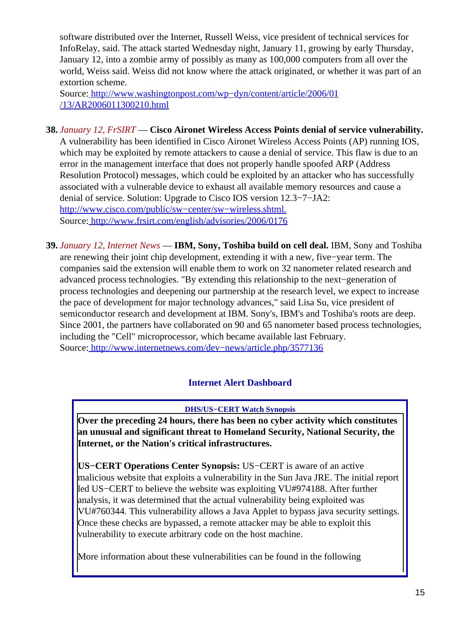software distributed over the Internet, Russell Weiss, vice president of technical services for InfoRelay, said. The attack started Wednesday night, January 11, growing by early Thursday, January 12, into a zombie army of possibly as many as 100,000 computers from all over the world, Weiss said. Weiss did not know where the attack originated, or whether it was part of an extortion scheme.

Source[: http://www.washingtonpost.com/wp−dyn/content/article/2006/01](http://www.washingtonpost.com/wp-dyn/content/article/2006/01/13/AR2006011300210.html) [/13/AR2006011300210.html](http://www.washingtonpost.com/wp-dyn/content/article/2006/01/13/AR2006011300210.html)

- **38.** *January 12, FrSIRT* — **Cisco Aironet Wireless Access Points denial of service vulnerability.** A vulnerability has been identified in Cisco Aironet Wireless Access Points (AP) running IOS, which may be exploited by remote attackers to cause a denial of service. This flaw is due to an error in the management interface that does not properly handle spoofed ARP (Address Resolution Protocol) messages, which could be exploited by an attacker who has successfully associated with a vulnerable device to exhaust all available memory resources and cause a denial of service. Solution: Upgrade to Cisco IOS version 12.3−7−JA2: [http://www.cisco.com/public/sw−center/sw−wireless.shtml.](http://www.cisco.com/public/sw-center/sw-wireless.shtml.) Source[: http://www.frsirt.com/english/advisories/2006/0176](http://www.frsirt.com/english/advisories/2006/0176)
- **39.** *January 12, Internet News* — **IBM, Sony, Toshiba build on cell deal.** IBM, Sony and Toshiba are renewing their joint chip development, extending it with a new, five−year term. The companies said the extension will enable them to work on 32 nanometer related research and advanced process technologies. "By extending this relationship to the next−generation of process technologies and deepening our partnership at the research level, we expect to increase the pace of development for major technology advances," said Lisa Su, vice president of semiconductor research and development at IBM. Sony's, IBM's and Toshiba's roots are deep. Since 2001, the partners have collaborated on 90 and 65 nanometer based process technologies, including the "Cell" microprocessor, which became available last February. Source[: http://www.internetnews.com/dev−news/article.php/3577136](http://www.internetnews.com/dev-news/article.php/3577136)

### **Internet Alert Dashboard**

**DHS/US−CERT Watch Synopsis**

<span id="page-14-0"></span>**Over the preceding 24 hours, there has been no cyber activity which constitutes an unusual and significant threat to Homeland Security, National Security, the Internet, or the Nation's critical infrastructures.**

**US−CERT Operations Center Synopsis:** US−CERT is aware of an active malicious website that exploits a vulnerability in the Sun Java JRE. The initial report led US−CERT to believe the website was exploiting VU#974188. After further analysis, it was determined that the actual vulnerability being exploited was VU#760344. This vulnerability allows a Java Applet to bypass java security settings. Once these checks are bypassed, a remote attacker may be able to exploit this vulnerability to execute arbitrary code on the host machine.

More information about these vulnerabilities can be found in the following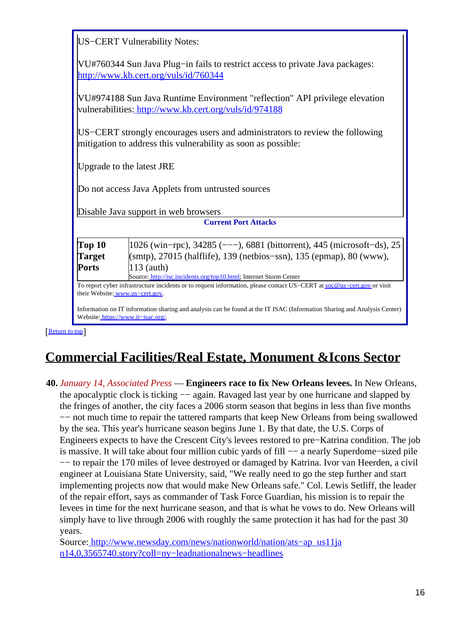|                                                                                                                        | US-CERT Vulnerability Notes:                                                                                                                              |  |
|------------------------------------------------------------------------------------------------------------------------|-----------------------------------------------------------------------------------------------------------------------------------------------------------|--|
| VU#760344 Sun Java Plug-in fails to restrict access to private Java packages:<br>http://www.kb.cert.org/vuls/id/760344 |                                                                                                                                                           |  |
|                                                                                                                        | VU#974188 Sun Java Runtime Environment "reflection" API privilege elevation<br>vulnerabilities: http://www.kb.cert.org/vuls/id/974188                     |  |
|                                                                                                                        | US–CERT strongly encourages users and administrators to review the following<br>mitigation to address this vulnerability as soon as possible:             |  |
|                                                                                                                        | Upgrade to the latest JRE                                                                                                                                 |  |
|                                                                                                                        | Do not access Java Applets from untrusted sources                                                                                                         |  |
|                                                                                                                        | Disable Java support in web browsers                                                                                                                      |  |
|                                                                                                                        | <b>Current Port Attacks</b>                                                                                                                               |  |
| Top 10                                                                                                                 | 1026 (win-rpc), 34285 (---), 6881 (bittorrent), 445 (microsoft-ds), 25                                                                                    |  |
|                                                                                                                        |                                                                                                                                                           |  |
| <b>Target</b>                                                                                                          | (smtp), 27015 (halflife), 139 (netbios–ssn), 135 (epmap), 80 (www),                                                                                       |  |
| <b>Ports</b>                                                                                                           | 113 (auth)                                                                                                                                                |  |
|                                                                                                                        | Source: http://isc.incidents.org/top10.html; Internet Storm Center                                                                                        |  |
|                                                                                                                        | To report cyber infrastructure incidents or to request information, please contact US-CERT at soc@us-cert.gov or visit<br>their Website: www.us-cert.gov. |  |

# <span id="page-15-0"></span>**Commercial Facilities/Real Estate, Monument &Icons Sector**

**40.** *January 14, Associated Press* — **Engineers race to fix New Orleans levees.** In New Orleans, the apocalyptic clock is ticking — again. Ravaged last year by one hurricane and slapped by the fringes of another, the city faces a 2006 storm season that begins in less than five months −− not much time to repair the tattered ramparts that keep New Orleans from being swallowed by the sea. This year's hurricane season begins June 1. By that date, the U.S. Corps of Engineers expects to have the Crescent City's levees restored to pre−Katrina condition. The job is massive. It will take about four million cubic yards of fill −− a nearly Superdome−sized pile −− to repair the 170 miles of levee destroyed or damaged by Katrina. Ivor van Heerden, a civil engineer at Louisiana State University, said, "We really need to go the step further and start implementing projects now that would make New Orleans safe." Col. Lewis Setliff, the leader of the repair effort, says as commander of Task Force Guardian, his mission is to repair the levees in time for the next hurricane season, and that is what he vows to do. New Orleans will simply have to live through 2006 with roughly the same protection it has had for the past 30 years.

Source[: http://www.newsday.com/news/nationworld/nation/ats−ap\\_us11ja](http://www.newsday.com/news/nationworld/nation/ats-ap_us11jan14,0,3565740.story?coll=ny-leadnationalnews-headlines) [n14,0,3565740.story?coll=ny−leadnationalnews−headlines](http://www.newsday.com/news/nationworld/nation/ats-ap_us11jan14,0,3565740.story?coll=ny-leadnationalnews-headlines)